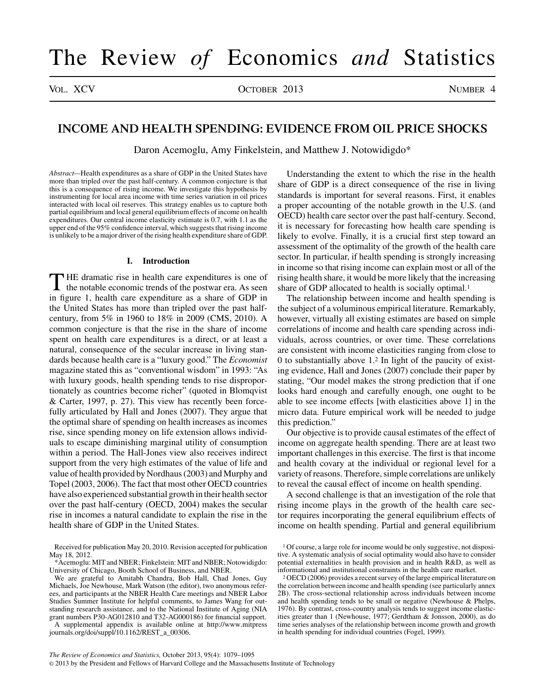# The Review *of* Economics *and* Statistics

VOL. XCV OCTOBER 2013 NUMBER 4

# **INCOME AND HEALTH SPENDING: EVIDENCE FROM OIL PRICE SHOCKS**

Daron Acemoglu, Amy Finkelstein, and Matthew J. Notowidigdo\*

*Abstract—*Health expenditures as a share of GDP in the United States have more than tripled over the past half-century. A common conjecture is that this is a consequence of rising income. We investigate this hypothesis by instrumenting for local area income with time series variation in oil prices interacted with local oil reserves. This strategy enables us to capture both partial equilibrium and local general equilibrium effects of income on health expenditures. Our central income elasticity estimate is 0.7, with 1.1 as the upper end of the 95% confidence interval, which suggests that rising income is unlikely to be a major driver of the rising health expenditure share of GDP.

#### **I. Introduction**

THE dramatic rise in health care expenditures is one of<br>the notable economic trends of the postwar era. As seen in figure 1, health care expenditure as a share of GDP in the United States has more than tripled over the past halfcentury, from 5% in 1960 to 18% in 2009 (CMS, 2010). A common conjecture is that the rise in the share of income spent on health care expenditures is a direct, or at least a natural, consequence of the secular increase in living standards because health care is a "luxury good." The *Economist* magazine stated this as "conventional wisdom" in 1993: "As with luxury goods, health spending tends to rise disproportionately as countries become richer" (quoted in Blomqvist & Carter, 1997, p. 27). This view has recently been forcefully articulated by Hall and Jones (2007). They argue that the optimal share of spending on health increases as incomes rise, since spending money on life extension allows individuals to escape diminishing marginal utility of consumption within a period. The Hall-Jones view also receives indirect support from the very high estimates of the value of life and value of health provided by Nordhaus (2003) and Murphy and Topel (2003, 2006). The fact that most other OECD countries have also experienced substantial growth in their health sector over the past half-century (OECD, 2004) makes the secular rise in incomes a natural candidate to explain the rise in the health share of GDP in the United States.

Understanding the extent to which the rise in the health share of GDP is a direct consequence of the rise in living standards is important for several reasons. First, it enables a proper accounting of the notable growth in the U.S. (and OECD) health care sector over the past half-century. Second, it is necessary for forecasting how health care spending is likely to evolve. Finally, it is a crucial first step toward an assessment of the optimality of the growth of the health care sector. In particular, if health spending is strongly increasing in income so that rising income can explain most or all of the rising health share, it would be more likely that the increasing share of GDP allocated to health is socially optimal.<sup>1</sup>

The relationship between income and health spending is the subject of a voluminous empirical literature. Remarkably, however, virtually all existing estimates are based on simple correlations of income and health care spending across individuals, across countries, or over time. These correlations are consistent with income elasticities ranging from close to 0 to substantially above 1.2 In light of the paucity of existing evidence, Hall and Jones (2007) conclude their paper by stating, "Our model makes the strong prediction that if one looks hard enough and carefully enough, one ought to be able to see income effects [with elasticities above 1] in the micro data. Future empirical work will be needed to judge this prediction."

Our objective is to provide causal estimates of the effect of income on aggregate health spending. There are at least two important challenges in this exercise. The first is that income and health covary at the individual or regional level for a variety of reasons. Therefore, simple correlations are unlikely to reveal the causal effect of income on health spending.

A second challenge is that an investigation of the role that rising income plays in the growth of the health care sector requires incorporating the general equilibrium effects of income on health spending. Partial and general equilibrium

Received for publication May 20, 2010. Revision accepted for publication May 18, 2012.

<sup>\*</sup>Acemoglu: MIT and NBER; Finkelstein: MIT and NBER; Notowidigdo: University of Chicago, Booth School of Business, and NBER.

We are grateful to Amitabh Chandra, Bob Hall, Chad Jones, Guy Michaels, Joe Newhouse, Mark Watson (the editor), two anonymous referees, and participants at the NBER Health Care meetings and NBER Labor Studies Summer Institute for helpful comments, to James Wang for outstanding research assistance, and to the National Institute of Aging (NIA grant numbers P30-AG012810 and T32-AG000186) for financial support. A supplemental appendix is available online at http://www.mitpress journals.org/doi/suppl/10.1162/REST\_a\_00306.

<sup>&</sup>lt;sup>1</sup> Of course, a large role for income would be only suggestive, not dispositive. A systematic analysis of social optimality would also have to consider potential externalities in health provision and in health R&D, as well as informational and institutional constraints in the health care market.

<sup>2</sup> OECD (2006) provides a recent survey of the large empirical literature on the correlation between income and health spending (see particularly annex 2B). The cross-sectional relationship across individuals between income and health spending tends to be small or negative (Newhouse & Phelps, 1976). By contrast, cross-country analysis tends to suggest income elasticities greater than 1 (Newhouse, 1977; Gerdtham & Jonsson, 2000), as do time series analyses of the relationship between income growth and growth in health spending for individual countries (Fogel, 1999).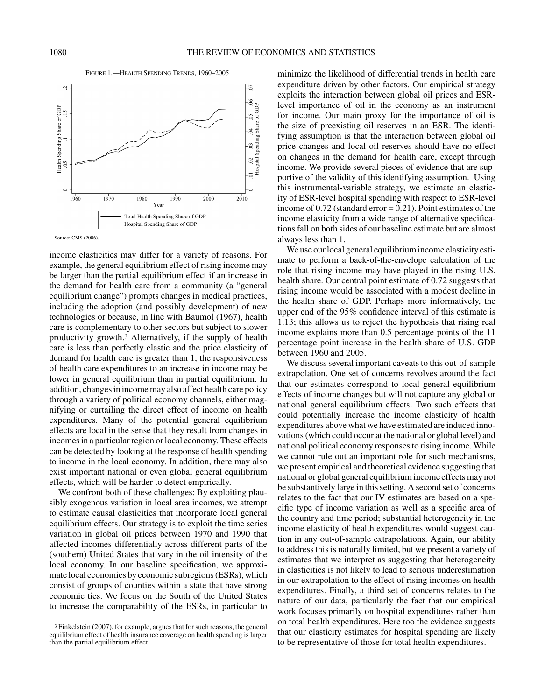



Source: CMS (2006).

income elasticities may differ for a variety of reasons. For example, the general equilibrium effect of rising income may be larger than the partial equilibrium effect if an increase in the demand for health care from a community (a "general equilibrium change") prompts changes in medical practices, including the adoption (and possibly development) of new technologies or because, in line with Baumol (1967), health care is complementary to other sectors but subject to slower productivity growth.3 Alternatively, if the supply of health care is less than perfectly elastic and the price elasticity of demand for health care is greater than 1, the responsiveness of health care expenditures to an increase in income may be lower in general equilibrium than in partial equilibrium. In addition, changes in income may also affect health care policy through a variety of political economy channels, either magnifying or curtailing the direct effect of income on health expenditures. Many of the potential general equilibrium effects are local in the sense that they result from changes in incomes in a particular region or local economy. These effects can be detected by looking at the response of health spending to income in the local economy. In addition, there may also exist important national or even global general equilibrium effects, which will be harder to detect empirically.

We confront both of these challenges: By exploiting plausibly exogenous variation in local area incomes, we attempt to estimate causal elasticities that incorporate local general equilibrium effects. Our strategy is to exploit the time series variation in global oil prices between 1970 and 1990 that affected incomes differentially across different parts of the (southern) United States that vary in the oil intensity of the local economy. In our baseline specification, we approximate local economies by economic subregions (ESRs), which consist of groups of counties within a state that have strong economic ties. We focus on the South of the United States to increase the comparability of the ESRs, in particular to

minimize the likelihood of differential trends in health care expenditure driven by other factors. Our empirical strategy exploits the interaction between global oil prices and ESRlevel importance of oil in the economy as an instrument for income. Our main proxy for the importance of oil is the size of preexisting oil reserves in an ESR. The identifying assumption is that the interaction between global oil price changes and local oil reserves should have no effect on changes in the demand for health care, except through income. We provide several pieces of evidence that are supportive of the validity of this identifying assumption. Using this instrumental-variable strategy, we estimate an elasticity of ESR-level hospital spending with respect to ESR-level income of  $0.72$  (standard error =  $0.21$ ). Point estimates of the income elasticity from a wide range of alternative specifications fall on both sides of our baseline estimate but are almost always less than 1.

We use our local general equilibrium income elasticity estimate to perform a back-of-the-envelope calculation of the role that rising income may have played in the rising U.S. health share. Our central point estimate of 0.72 suggests that rising income would be associated with a modest decline in the health share of GDP. Perhaps more informatively, the upper end of the 95% confidence interval of this estimate is 1.13; this allows us to reject the hypothesis that rising real income explains more than 0.5 percentage points of the 11 percentage point increase in the health share of U.S. GDP between 1960 and 2005.

We discuss several important caveats to this out-of-sample extrapolation. One set of concerns revolves around the fact that our estimates correspond to local general equilibrium effects of income changes but will not capture any global or national general equilibrium effects. Two such effects that could potentially increase the income elasticity of health expenditures above what we have estimated are induced innovations (which could occur at the national or global level) and national political economy responses to rising income. While we cannot rule out an important role for such mechanisms, we present empirical and theoretical evidence suggesting that national or global general equilibrium income effects may not be substantively large in this setting. A second set of concerns relates to the fact that our IV estimates are based on a specific type of income variation as well as a specific area of the country and time period; substantial heterogeneity in the income elasticity of health expenditures would suggest caution in any out-of-sample extrapolations. Again, our ability to address this is naturally limited, but we present a variety of estimates that we interpret as suggesting that heterogeneity in elasticities is not likely to lead to serious underestimation in our extrapolation to the effect of rising incomes on health expenditures. Finally, a third set of concerns relates to the nature of our data, particularly the fact that our empirical work focuses primarily on hospital expenditures rather than on total health expenditures. Here too the evidence suggests that our elasticity estimates for hospital spending are likely to be representative of those for total health expenditures.

<sup>3</sup> Finkelstein (2007), for example, argues that for such reasons, the general equilibrium effect of health insurance coverage on health spending is larger than the partial equilibrium effect.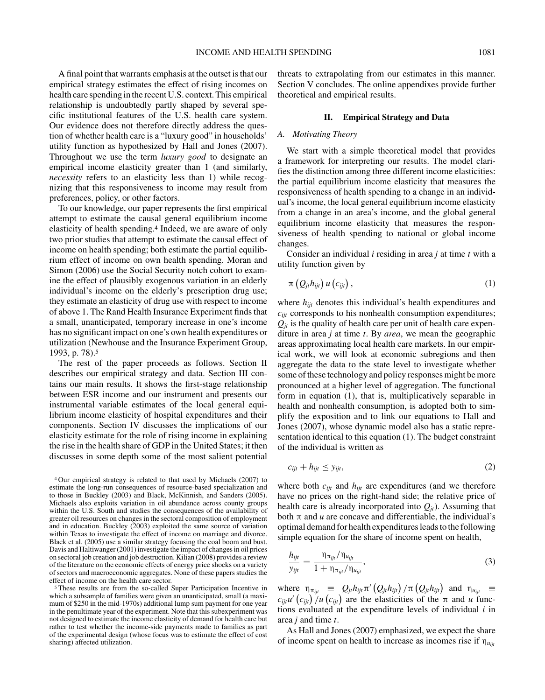A final point that warrants emphasis at the outset is that our empirical strategy estimates the effect of rising incomes on health care spending in the recent U.S. context. This empirical relationship is undoubtedly partly shaped by several specific institutional features of the U.S. health care system. Our evidence does not therefore directly address the question of whether health care is a "luxury good" in households' utility function as hypothesized by Hall and Jones (2007). Throughout we use the term *luxury good* to designate an empirical income elasticity greater than 1 (and similarly, *necessity* refers to an elasticity less than 1) while recognizing that this responsiveness to income may result from preferences, policy, or other factors.

To our knowledge, our paper represents the first empirical attempt to estimate the causal general equilibrium income elasticity of health spending.4 Indeed, we are aware of only two prior studies that attempt to estimate the causal effect of income on health spending; both estimate the partial equilibrium effect of income on own health spending. Moran and Simon (2006) use the Social Security notch cohort to examine the effect of plausibly exogenous variation in an elderly individual's income on the elderly's prescription drug use; they estimate an elasticity of drug use with respect to income of above 1. The Rand Health Insurance Experiment finds that a small, unanticipated, temporary increase in one's income has no significant impact on one's own health expenditures or utilization (Newhouse and the Insurance Experiment Group, 1993, p. 78).5

The rest of the paper proceeds as follows. Section II describes our empirical strategy and data. Section III contains our main results. It shows the first-stage relationship between ESR income and our instrument and presents our instrumental variable estimates of the local general equilibrium income elasticity of hospital expenditures and their components. Section IV discusses the implications of our elasticity estimate for the role of rising income in explaining the rise in the health share of GDP in the United States; it then discusses in some depth some of the most salient potential

<sup>4</sup> Our empirical strategy is related to that used by Michaels (2007) to estimate the long-run consequences of resource-based specialization and to those in Buckley (2003) and Black, McKinnish, and Sanders (2005). Michaels also exploits variation in oil abundance across county groups within the U.S. South and studies the consequences of the availability of greater oil resources on changes in the sectoral composition of employment and in education. Buckley (2003) exploited the same source of variation within Texas to investigate the effect of income on marriage and divorce. Black et al. (2005) use a similar strategy focusing the coal boom and bust. Davis and Haltiwanger (2001) investigate the impact of changes in oil prices on sectoral job creation and job destruction. Kilian (2008) provides a review of the literature on the economic effects of energy price shocks on a variety of sectors and macroeconomic aggregates. None of these papers studies the effect of income on the health care sector.

<sup>5</sup> These results are from the so-called Super Participation Incentive in which a subsample of families were given an unanticipated, small (a maximum of \$250 in the mid-1970s) additional lump sum payment for one year in the penultimate year of the experiment. Note that this subexperiment was not designed to estimate the income elasticity of demand for health care but rather to test whether the income-side payments made to families as part of the experimental design (whose focus was to estimate the effect of cost sharing) affected utilization.

threats to extrapolating from our estimates in this manner. Section V concludes. The online appendixes provide further theoretical and empirical results.

#### **II. Empirical Strategy and Data**

# *A. Motivating Theory*

We start with a simple theoretical model that provides a framework for interpreting our results. The model clarifies the distinction among three different income elasticities: the partial equilibrium income elasticity that measures the responsiveness of health spending to a change in an individual's income, the local general equilibrium income elasticity from a change in an area's income, and the global general equilibrium income elasticity that measures the responsiveness of health spending to national or global income changes.

Consider an individual *i* residing in area *j* at time *t* with a utility function given by

$$
\pi\left(Q_{jt}h_{ijt}\right)u\left(c_{ijt}\right),\tag{1}
$$

where *hijt* denotes this individual's health expenditures and *cijt* corresponds to his nonhealth consumption expenditures;  $Q_{it}$  is the quality of health care per unit of health care expenditure in area *j* at time *t*. By *area*, we mean the geographic areas approximating local health care markets. In our empirical work, we will look at economic subregions and then aggregate the data to the state level to investigate whether some of these technology and policy responses might be more pronounced at a higher level of aggregation. The functional form in equation (1), that is, multiplicatively separable in health and nonhealth consumption, is adopted both to simplify the exposition and to link our equations to Hall and Jones (2007), whose dynamic model also has a static representation identical to this equation (1). The budget constraint of the individual is written as

$$
c_{ijt} + h_{ijt} \leq y_{ijt},\tag{2}
$$

where both *cijt* and *hijt* are expenditures (and we therefore have no prices on the right-hand side; the relative price of health care is already incorporated into  $Q_{it}$ ). Assuming that both  $\pi$  and  $u$  are concave and differentiable, the individual's optimal demand for health expenditures leads to the following simple equation for the share of income spent on health,

$$
\frac{h_{ijt}}{y_{ijt}} = \frac{\eta_{\pi_{ijt}}/\eta_{u_{ijt}}}{1 + \eta_{\pi_{ijt}}/\eta_{u_{ijt}}},\tag{3}
$$

where  $\eta_{\pi_{ijt}} \equiv Q_{jt} h_{ijt} \pi' (Q_{jt} h_{ijt}) / \pi (Q_{jt} h_{ijt})$  and  $\eta_{u_{ijt}} \equiv$  $c_{ijt}u'(c_{ijt})/u(c_{ijt})$  are the elasticities of the  $\pi$  and *u* functions evaluated at the expenditure levels of individual *i* in area *j* and time *t*.

As Hall and Jones (2007) emphasized, we expect the share of income spent on health to increase as incomes rise if  $\eta_{u_{ijt}}$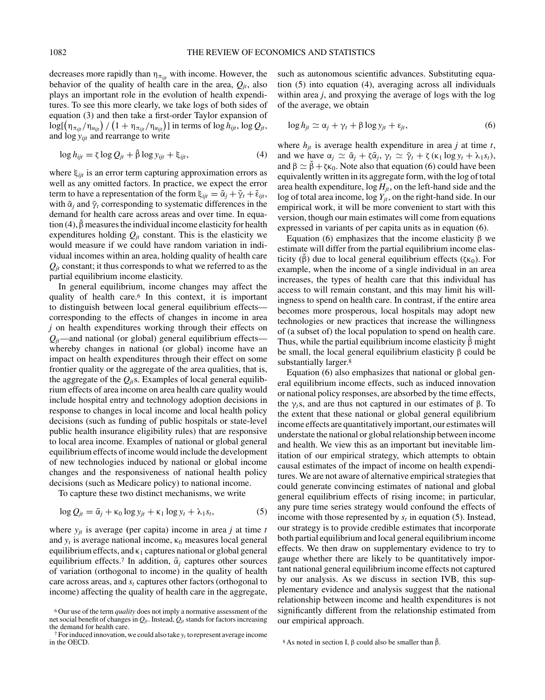decreases more rapidly than  $\eta_{\pi_{ijt}}$  with income. However, the behavior of the quality of health care in the area,  $Q_{it}$ , also plays an important role in the evolution of health expenditures. To see this more clearly, we take logs of both sides of equation (3) and then take a first-order Taylor expansion of  $\log[(\eta_{\pi_{ijt}}/\eta_{u_{ijt}})\,/\,(1+\eta_{\pi_{ijt}}/\eta_{u_{ijt}})]$  in terms of  $\log h_{ijt}$ ,  $\log Q_{jt}$ , and log *yijt* and rearrange to write

$$
\log h_{ijt} = \zeta \log Q_{jt} + \tilde{\beta} \log y_{ijt} + \xi_{ijt},\tag{4}
$$

where ξ*ijt* is an error term capturing approximation errors as well as any omitted factors. In practice, we expect the error term to have a representation of the form  $\xi_{ijt} = \tilde{\alpha}_i + \tilde{\gamma}_t + \tilde{\epsilon}_{ijt}$ , with  $\tilde{\alpha}_i$  and  $\tilde{\gamma}_t$  corresponding to systematic differences in the demand for health care across areas and over time. In equation (4),  $\beta$  measures the individual income elasticity for health expenditures holding  $Q_{it}$  constant. This is the elasticity we would measure if we could have random variation in individual incomes within an area, holding quality of health care  $Q_{it}$  constant; it thus corresponds to what we referred to as the partial equilibrium income elasticity.

In general equilibrium, income changes may affect the quality of health care.6 In this context, it is important to distinguish between local general equilibrium effects corresponding to the effects of changes in income in area *j* on health expenditures working through their effects on  $Q_{jt}$ —and national (or global) general equilibrium effects whereby changes in national (or global) income have an impact on health expenditures through their effect on some frontier quality or the aggregate of the area qualities, that is, the aggregate of the  $Q_{it}$ s. Examples of local general equilibrium effects of area income on area health care quality would include hospital entry and technology adoption decisions in response to changes in local income and local health policy decisions (such as funding of public hospitals or state-level public health insurance eligibility rules) that are responsive to local area income. Examples of national or global general equilibrium effects of income would include the development of new technologies induced by national or global income changes and the responsiveness of national health policy decisions (such as Medicare policy) to national income.

To capture these two distinct mechanisms, we write

$$
\log Q_{jt} = \bar{\alpha}_j + \kappa_0 \log y_{jt} + \kappa_1 \log y_t + \lambda_1 s_t, \tag{5}
$$

where  $y_{jt}$  is average (per capita) income in area *j* at time *t* and  $y_t$  is average national income,  $\kappa_0$  measures local general equilibrium effects, and  $\kappa_1$  captures national or global general equilibrium effects.<sup>7</sup> In addition,  $\bar{\alpha}_i$  captures other sources of variation (orthogonal to income) in the quality of health care across areas, and *st* captures other factors (orthogonal to income) affecting the quality of health care in the aggregate, such as autonomous scientific advances. Substituting equation (5) into equation (4), averaging across all individuals within area *j*, and proxying the average of logs with the log of the average, we obtain

$$
\log h_{jt} \simeq \alpha_j + \gamma_t + \beta \log y_{jt} + \varepsilon_{jt},\tag{6}
$$

where  $h_{jt}$  is average health expenditure in area *j* at time *t*, and we have  $\alpha_j \simeq \tilde{\alpha}_j + \zeta \bar{\alpha}_j$ ,  $\gamma_t \simeq \tilde{\gamma}_t + \zeta (\kappa_1 \log y_t + \lambda_1 s_t)$ , and  $\beta \simeq \beta + \zeta \kappa_0$ . Note also that equation (6) could have been equivalently written in its aggregate form, with the log of total area health expenditure,  $\log H_{jt}$ , on the left-hand side and the log of total area income,  $\log Y_{it}$ , on the right-hand side. In our empirical work, it will be more convenient to start with this version, though our main estimates will come from equations expressed in variants of per capita units as in equation (6).

Equation (6) emphasizes that the income elasticity β we estimate will differ from the partial equilibrium income elasticity (β) due to local general equilibrium effects (ζκ<sub>0</sub>). For example, when the income of a single individual in an area increases, the types of health care that this individual has access to will remain constant, and this may limit his willingness to spend on health care. In contrast, if the entire area becomes more prosperous, local hospitals may adopt new technologies or new practices that increase the willingness of (a subset of) the local population to spend on health care. Thus, while the partial equilibrium income elasticity  $\beta$  might be small, the local general equilibrium elasticity β could be substantially larger.8

Equation (6) also emphasizes that national or global general equilibrium income effects, such as induced innovation or national policy responses, are absorbed by the time effects, the γ<sub>t</sub>s, and are thus not captured in our estimates of β. To the extent that these national or global general equilibrium income effects are quantitatively important, our estimates will understate the national or global relationship between income and health. We view this as an important but inevitable limitation of our empirical strategy, which attempts to obtain causal estimates of the impact of income on health expenditures. We are not aware of alternative empirical strategies that could generate convincing estimates of national and global general equilibrium effects of rising income; in particular, any pure time series strategy would confound the effects of income with those represented by  $s_t$  in equation (5). Instead, our strategy is to provide credible estimates that incorporate both partial equilibrium and local general equilibrium income effects. We then draw on supplementary evidence to try to gauge whether there are likely to be quantitatively important national general equilibrium income effects not captured by our analysis. As we discuss in section IVB, this supplementary evidence and analysis suggest that the national relationship between income and health expenditures is not significantly different from the relationship estimated from our empirical approach.

<sup>6</sup> Our use of the term *quality* does not imply a normative assessment of the net social benefit of changes in  $Q_{jt}$ . Instead,  $Q_{jt}$  stands for factors increasing the demand for health care.

<sup>7</sup> For induced innovation, we could also take *yt* to represent average income in the OECD.

<sup>&</sup>lt;sup>8</sup> As noted in section I, β could also be smaller than  $\tilde{\beta}$ .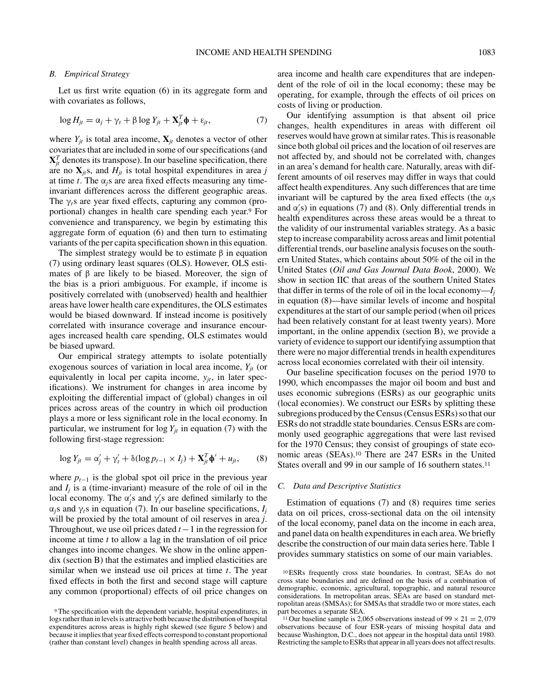#### *B. Empirical Strategy*

Let us first write equation (6) in its aggregate form and with covariates as follows,

$$
\log H_{jt} = \alpha_j + \gamma_t + \beta \log Y_{jt} + \mathbf{X}_{jt}^T \boldsymbol{\phi} + \varepsilon_{jt},\tag{7}
$$

where  $Y_{jt}$  is total area income,  $\mathbf{X}_{jt}$  denotes a vector of other covariates that are included in some of our specifications (and  $\mathbf{X}_{jt}^T$  denotes its transpose). In our baseline specification, there are no  $\mathbf{X}_{jt}$ s, and  $H_{jt}$  is total hospital expenditures in area *j* at time *t*. The  $\alpha_i$ s are area fixed effects measuring any timeinvariant differences across the different geographic areas. The γ*t*s are year fixed effects, capturing any common (proportional) changes in health care spending each year.9 For convenience and transparency, we begin by estimating this aggregate form of equation (6) and then turn to estimating variants of the per capita specification shown in this equation.

The simplest strategy would be to estimate  $\beta$  in equation (7) using ordinary least squares (OLS). However, OLS estimates of β are likely to be biased. Moreover, the sign of the bias is a priori ambiguous. For example, if income is positively correlated with (unobserved) health and healthier areas have lower health care expenditures, the OLS estimates would be biased downward. If instead income is positively correlated with insurance coverage and insurance encourages increased health care spending, OLS estimates would be biased upward.

Our empirical strategy attempts to isolate potentially exogenous sources of variation in local area income,  $Y_{it}$  (or equivalently in local per capita income,  $y_{jt}$ , in later specifications). We instrument for changes in area income by exploiting the differential impact of (global) changes in oil prices across areas of the country in which oil production plays a more or less significant role in the local economy. In particular, we instrument for  $\log Y_{it}$  in equation (7) with the following first-stage regression:

$$
\log Y_{jt} = \alpha'_j + \gamma'_t + \delta(\log p_{t-1} \times I_j) + \mathbf{X}_{jt}^T \mathbf{\phi}' + u_{jt},\qquad(8)
$$

where  $p_{t-1}$  is the global spot oil price in the previous year and  $I_i$  is a (time-invariant) measure of the role of oil in the local economy. The  $\alpha'_j$ s and  $\gamma'_i$ s are defined similarly to the  $\alpha_j$ s and  $\gamma_t$ s in equation (7). In our baseline specifications, *I<sub>j</sub>* will be proxied by the total amount of oil reserves in area *j*. Throughout, we use oil prices dated *t*−1 in the regression for income at time *t* to allow a lag in the translation of oil price changes into income changes. We show in the online appendix (section B) that the estimates and implied elasticities are similar when we instead use oil prices at time *t*. The year fixed effects in both the first and second stage will capture any common (proportional) effects of oil price changes on area income and health care expenditures that are independent of the role of oil in the local economy; these may be operating, for example, through the effects of oil prices on costs of living or production.

Our identifying assumption is that absent oil price changes, health expenditures in areas with different oil reserves would have grown at similar rates. This is reasonable since both global oil prices and the location of oil reserves are not affected by, and should not be correlated with, changes in an area's demand for health care. Naturally, areas with different amounts of oil reserves may differ in ways that could affect health expenditures. Any such differences that are time invariant will be captured by the area fixed effects (the α*j*s and  $\alpha'_j$ s) in equations (7) and (8). Only differential trends in health expenditures across these areas would be a threat to the validity of our instrumental variables strategy. As a basic step to increase comparability across areas and limit potential differential trends, our baseline analysis focuses on the southern United States, which contains about 50% of the oil in the United States (*Oil and Gas Journal Data Book*, 2000). We show in section IIC that areas of the southern United States that differ in terms of the role of oil in the local economy- $I_i$ in equation (8)—have similar levels of income and hospital expenditures at the start of our sample period (when oil prices had been relatively constant for at least twenty years). More important, in the online appendix (section B), we provide a variety of evidence to support our identifying assumption that there were no major differential trends in health expenditures across local economies correlated with their oil intensity.

Our baseline specification focuses on the period 1970 to 1990, which encompasses the major oil boom and bust and uses economic subregions (ESRs) as our geographic units (local economies). We construct our ESRs by splitting these subregions produced by the Census (Census ESRs) so that our ESRs do not straddle state boundaries. Census ESRs are commonly used geographic aggregations that were last revised for the 1970 Census; they consist of groupings of state economic areas (SEAs).10 There are 247 ESRs in the United States overall and 99 in our sample of 16 southern states.<sup>11</sup>

# *C. Data and Descriptive Statistics*

Estimation of equations (7) and (8) requires time series data on oil prices, cross-sectional data on the oil intensity of the local economy, panel data on the income in each area, and panel data on health expenditures in each area. We briefly describe the construction of our main data series here. Table 1 provides summary statistics on some of our main variables.

<sup>9</sup> The specification with the dependent variable, hospital expenditures, in logs rather than in levels is attractive both because the distribution of hospital expenditures across areas is highly right skewed (see figure 5 below) and because it implies that year fixed effects correspond to constant proportional (rather than constant level) changes in health spending across all areas.

<sup>10</sup> ESRs frequently cross state boundaries. In contrast, SEAs do not cross state boundaries and are defined on the basis of a combination of demographic, economic, agricultural, topographic, and natural resource considerations. In metropolitan areas, SEAs are based on standard metropolitan areas (SMSAs); for SMSAs that straddle two or more states, each part becomes a separate SEA.

<sup>&</sup>lt;sup>11</sup> Our baseline sample is 2,065 observations instead of  $99 \times 21 = 2,079$ observations because of four ESR-years of missing hospital data and because Washington, D.C., does not appear in the hospital data until 1980. Restricting the sample to ESRs that appear in all years does not affect results.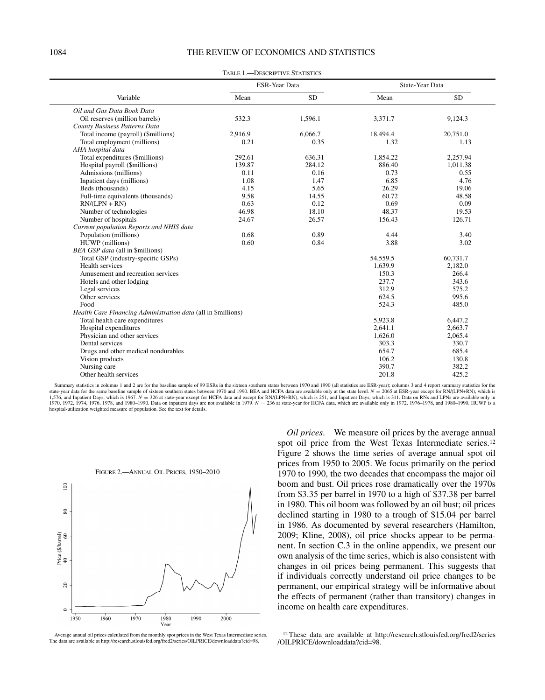| TABLE 1.-DESCRIPTIVE STATISTICS                               |         |                      |          |                        |  |  |  |  |  |
|---------------------------------------------------------------|---------|----------------------|----------|------------------------|--|--|--|--|--|
|                                                               |         | <b>ESR-Year Data</b> |          | <b>State-Year Data</b> |  |  |  |  |  |
| Variable                                                      | Mean    | <b>SD</b>            | Mean     | <b>SD</b>              |  |  |  |  |  |
| Oil and Gas Data Book Data                                    |         |                      |          |                        |  |  |  |  |  |
| Oil reserves (million barrels)                                | 532.3   | 1,596.1              | 3,371.7  | 9,124.3                |  |  |  |  |  |
| County Business Patterns Data                                 |         |                      |          |                        |  |  |  |  |  |
| Total income (payroll) (\$millions)                           | 2,916.9 | 6.066.7              | 18,494.4 | 20,751.0               |  |  |  |  |  |
| Total employment (millions)                                   | 0.21    | 0.35                 | 1.32     | 1.13                   |  |  |  |  |  |
| AHA hospital data                                             |         |                      |          |                        |  |  |  |  |  |
| Total expenditures (\$millions)                               | 292.61  | 636.31               | 1,854.22 | 2,257.94               |  |  |  |  |  |
| Hospital payroll (\$millions)                                 | 139.87  | 284.12               | 886.40   | 1,011.38               |  |  |  |  |  |
| Admissions (millions)                                         | 0.11    | 0.16                 | 0.73     | 0.55                   |  |  |  |  |  |
| Inpatient days (millions)                                     | 1.08    | 1.47                 | 6.85     | 4.76                   |  |  |  |  |  |
| Beds (thousands)                                              | 4.15    | 5.65                 | 26.29    | 19.06                  |  |  |  |  |  |
| Full-time equivalents (thousands)                             | 9.58    | 14.55                | 60.72    | 48.58                  |  |  |  |  |  |
| $RN/(LPN + RN)$                                               | 0.63    | 0.12                 | 0.69     | 0.09                   |  |  |  |  |  |
| Number of technologies                                        | 46.98   | 18.10                | 48.37    | 19.53                  |  |  |  |  |  |
| Number of hospitals                                           | 24.67   | 26.57                | 156.43   | 126.71                 |  |  |  |  |  |
| Current population Reports and NHIS data                      |         |                      |          |                        |  |  |  |  |  |
| Population (millions)                                         | 0.68    | 0.89                 | 4.44     | 3.40                   |  |  |  |  |  |
| HUWP (millions)                                               | 0.60    | 0.84                 | 3.88     | 3.02                   |  |  |  |  |  |
| BEA GSP data (all in \$millions)                              |         |                      |          |                        |  |  |  |  |  |
| Total GSP (industry-specific GSPs)                            |         |                      | 54,559.5 | 60,731.7               |  |  |  |  |  |
| Health services                                               |         | 1,639.9              | 2,182.0  |                        |  |  |  |  |  |
| Amusement and recreation services                             |         | 150.3                | 266.4    |                        |  |  |  |  |  |
| Hotels and other lodging                                      |         |                      | 237.7    | 343.6                  |  |  |  |  |  |
| Legal services                                                |         |                      | 312.9    | 575.2                  |  |  |  |  |  |
| Other services                                                |         |                      | 624.5    | 995.6                  |  |  |  |  |  |
| Food                                                          |         |                      |          |                        |  |  |  |  |  |
| Health Care Financing Administration data (all in \$millions) |         |                      |          |                        |  |  |  |  |  |
| Total health care expenditures                                | 5,923.8 | 6,447.2              |          |                        |  |  |  |  |  |
| Hospital expenditures                                         | 2,641.1 | 2,663.7              |          |                        |  |  |  |  |  |
| Physician and other services                                  | 1.626.0 | 2,065.4              |          |                        |  |  |  |  |  |
| Dental services                                               | 303.3   | 330.7                |          |                        |  |  |  |  |  |
| Drugs and other medical nondurables                           | 654.7   | 685.4                |          |                        |  |  |  |  |  |
| Vision products                                               |         |                      | 106.2    | 130.8                  |  |  |  |  |  |
| Nursing care                                                  |         |                      | 390.7    | 382.2                  |  |  |  |  |  |
| Other health services                                         | 201.8   | 425.2                |          |                        |  |  |  |  |  |

Summary statistics in columns 1 and 2 are for the baseline sample of 99 ESRs in the sixteen southern states between 1970 and 1990 (all statistics are ESR-year); columns 3 and 4 report summary statistics for the state-year data for the same baseline sample of sixteen southern states between 1970 and 1990. BEA and HCFA data are available only at the state level.  $N = 2065$  at ESR-year except for RN/(LPN+RN), which is 1987. N = 326 1970, 1972, 1974, 1976, 1978, and 1980–1990. Data on inpatient days are not available in 1979. *N* = 236 at state-year for HCFA data, which are available only in 1972, 1976–1978, and 1980–1990. HUWP is a hospital-utilization weighted measure of population. See the text for details.



Figure 2.—Annual Oil Prices, 1950–2010

Average annual oil prices calculated from the monthly spot prices in the West Texas Intermediate series. The data are available at http://research.stlouisfed.org/fred2/series/OILPRICE/downloaddata?cid=98.

*Oil prices*. We measure oil prices by the average annual spot oil price from the West Texas Intermediate series.12 Figure 2 shows the time series of average annual spot oil prices from 1950 to 2005. We focus primarily on the period 1970 to 1990, the two decades that encompass the major oil boom and bust. Oil prices rose dramatically over the 1970s from \$3.35 per barrel in 1970 to a high of \$37.38 per barrel in 1980. This oil boom was followed by an oil bust; oil prices declined starting in 1980 to a trough of \$15.04 per barrel in 1986. As documented by several researchers (Hamilton, 2009; Kline, 2008), oil price shocks appear to be permanent. In section C.3 in the online appendix, we present our own analysis of the time series, which is also consistent with changes in oil prices being permanent. This suggests that if individuals correctly understand oil price changes to be permanent, our empirical strategy will be informative about the effects of permanent (rather than transitory) changes in income on health care expenditures.

<sup>12</sup> These data are available at http://research.stlouisfed.org/fred2/series /OILPRICE/downloaddata?cid=98.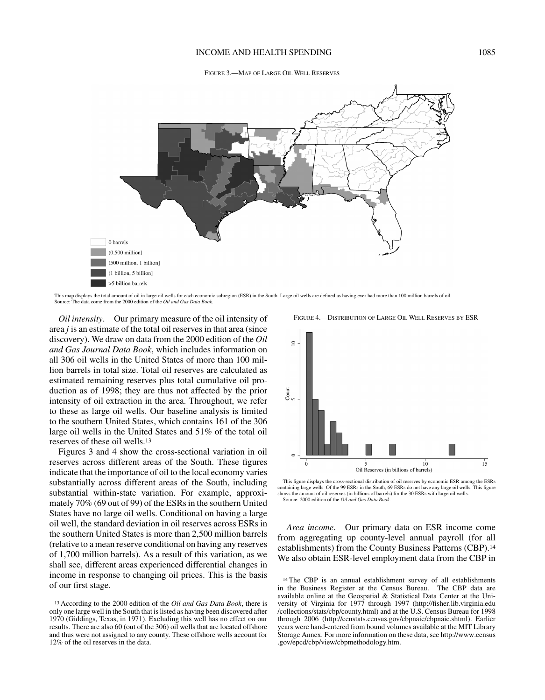Figure 3.—Map of Large Oil Well Reserves



This map displays the total amount of oil in large oil wells for each economic subregion (ESR) in the South. Large oil wells are defined as having ever had more than 100 million barrels of oil. Source: The data come from the 2000 edition of the *Oil and Gas Data Book*.

*Oil intensity*. Our primary measure of the oil intensity of area *j* is an estimate of the total oil reserves in that area (since discovery). We draw on data from the 2000 edition of the *Oil and Gas Journal Data Book*, which includes information on all 306 oil wells in the United States of more than 100 million barrels in total size. Total oil reserves are calculated as estimated remaining reserves plus total cumulative oil production as of 1998; they are thus not affected by the prior intensity of oil extraction in the area. Throughout, we refer to these as large oil wells. Our baseline analysis is limited to the southern United States, which contains 161 of the 306 large oil wells in the United States and 51% of the total oil reserves of these oil wells.13

Figures 3 and 4 show the cross-sectional variation in oil reserves across different areas of the South. These figures indicate that the importance of oil to the local economy varies substantially across different areas of the South, including substantial within-state variation. For example, approximately 70% (69 out of 99) of the ESRs in the southern United States have no large oil wells. Conditional on having a large oil well, the standard deviation in oil reserves across ESRs in the southern United States is more than 2,500 million barrels (relative to a mean reserve conditional on having any reserves of 1,700 million barrels). As a result of this variation, as we shall see, different areas experienced differential changes in income in response to changing oil prices. This is the basis of our first stage.

Figure 4.—Distribution of Large Oil Well Reserves by ESR



This figure displays the cross-sectional distribution of oil reserves by economic ESR among the ESRs containing large wells. Of the 99 ESRs in the South, 69 ESRs do not have any large oil wells. This figure shows the amount of oil reserves (in billions of barrels) for the 30 ESRs with large oil wells. Source: 2000 edition of the *Oil and Gas Data Book*.

*Area income*. Our primary data on ESR income come from aggregating up county-level annual payroll (for all establishments) from the County Business Patterns (CBP).14 We also obtain ESR-level employment data from the CBP in

<sup>14</sup> The CBP is an annual establishment survey of all establishments in the Business Register at the Census Bureau. The CBP data are available online at the Geospatial & Statistical Data Center at the University of Virginia for 1977 through 1997 (http://fisher.lib.virginia.edu /collections/stats/cbp/county.html) and at the U.S. Census Bureau for 1998 through 2006 (http://censtats.census.gov/cbpnaic/cbpnaic.shtml). Earlier years were hand-entered from bound volumes available at the MIT Library Storage Annex. For more information on these data, see http://www.census .gov/epcd/cbp/view/cbpmethodology.htm.

<sup>13</sup> According to the 2000 edition of the *Oil and Gas Data Book*, there is only one large well in the South that is listed as having been discovered after 1970 (Giddings, Texas, in 1971). Excluding this well has no effect on our results. There are also 60 (out of the 306) oil wells that are located offshore and thus were not assigned to any county. These offshore wells account for 12% of the oil reserves in the data.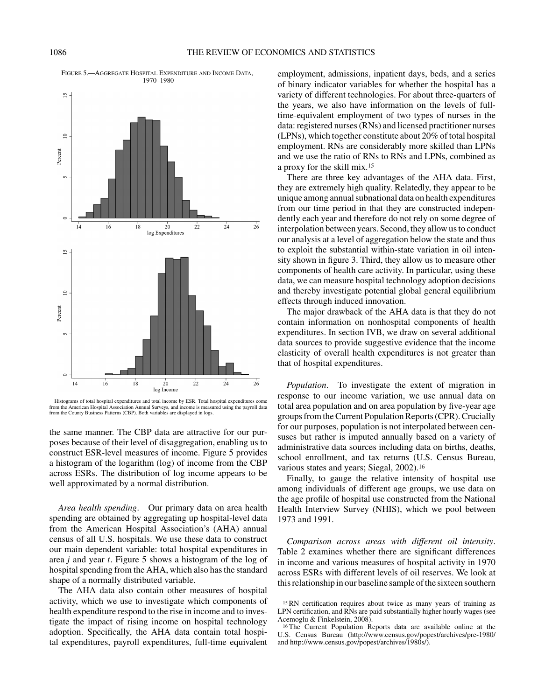Figure 5.—Aggregate Hospital Expenditure and Income Data, 1970–1980



Histograms of total hospital expenditures and total income by ESR. Total hospital expenditures come from the American Hospital Association Annual Surveys, and income is measured using the payroll data from the County Business Patterns (CBP). Both variables are displayed in logs.

the same manner. The CBP data are attractive for our purposes because of their level of disaggregation, enabling us to construct ESR-level measures of income. Figure 5 provides a histogram of the logarithm (log) of income from the CBP across ESRs. The distribution of log income appears to be well approximated by a normal distribution.

*Area health spending*. Our primary data on area health spending are obtained by aggregating up hospital-level data from the American Hospital Association's (AHA) annual census of all U.S. hospitals. We use these data to construct our main dependent variable: total hospital expenditures in area *j* and year *t*. Figure 5 shows a histogram of the log of hospital spending from the AHA, which also has the standard shape of a normally distributed variable.

The AHA data also contain other measures of hospital activity, which we use to investigate which components of health expenditure respond to the rise in income and to investigate the impact of rising income on hospital technology adoption. Specifically, the AHA data contain total hospital expenditures, payroll expenditures, full-time equivalent

employment, admissions, inpatient days, beds, and a series of binary indicator variables for whether the hospital has a variety of different technologies. For about three-quarters of the years, we also have information on the levels of fulltime-equivalent employment of two types of nurses in the data: registered nurses (RNs) and licensed practitioner nurses (LPNs), which together constitute about 20% of total hospital employment. RNs are considerably more skilled than LPNs and we use the ratio of RNs to RNs and LPNs, combined as a proxy for the skill mix.15

There are three key advantages of the AHA data. First, they are extremely high quality. Relatedly, they appear to be unique among annual subnational data on health expenditures from our time period in that they are constructed independently each year and therefore do not rely on some degree of interpolation between years. Second, they allow us to conduct our analysis at a level of aggregation below the state and thus to exploit the substantial within-state variation in oil intensity shown in figure 3. Third, they allow us to measure other components of health care activity. In particular, using these data, we can measure hospital technology adoption decisions and thereby investigate potential global general equilibrium effects through induced innovation.

The major drawback of the AHA data is that they do not contain information on nonhospital components of health expenditures. In section IVB, we draw on several additional data sources to provide suggestive evidence that the income elasticity of overall health expenditures is not greater than that of hospital expenditures.

*Population*. To investigate the extent of migration in response to our income variation, we use annual data on total area population and on area population by five-year age groups from the Current Population Reports (CPR). Crucially for our purposes, population is not interpolated between censuses but rather is imputed annually based on a variety of administrative data sources including data on births, deaths, school enrollment, and tax returns (U.S. Census Bureau, various states and years; Siegal, 2002).16

Finally, to gauge the relative intensity of hospital use among individuals of different age groups, we use data on the age profile of hospital use constructed from the National Health Interview Survey (NHIS), which we pool between 1973 and 1991.

*Comparison across areas with different oil intensity*. Table 2 examines whether there are significant differences in income and various measures of hospital activity in 1970 across ESRs with different levels of oil reserves. We look at this relationship in our baseline sample of the sixteen southern

<sup>15</sup>RN certification requires about twice as many years of training as LPN certification, and RNs are paid substantially higher hourly wages (see Acemoglu & Finkelstein, 2008).

<sup>16</sup> The Current Population Reports data are available online at the U.S. Census Bureau (http://www.census.gov/popest/archives/pre-1980/ and http://www.census.gov/popest/archives/1980s/).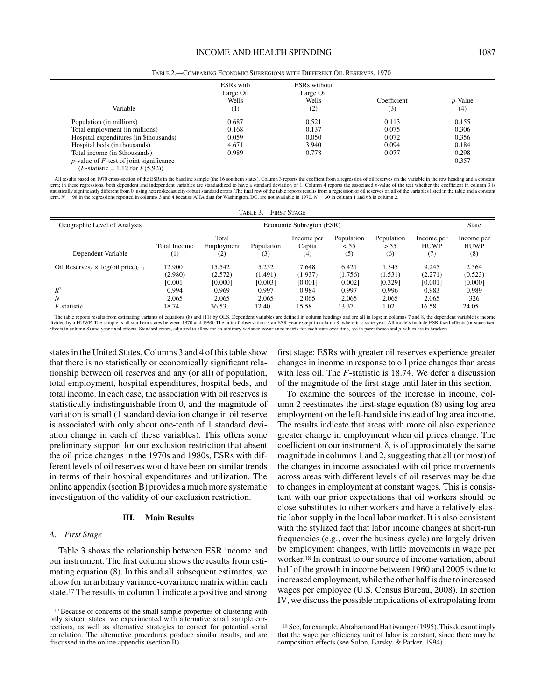# INCOME AND HEALTH SPENDING 1087

| TABLE 2.—COMPARING ECONOMIC SUBREGIONS WITH DIFFERENT OIL RESERVES, 1970 |  |
|--------------------------------------------------------------------------|--|
|--------------------------------------------------------------------------|--|

| Variable                                                                                            | ESR <sub>s</sub> with<br>Large Oil<br>Wells<br>(1) | <b>ESRs</b> without<br>Large Oil<br>Wells<br>(2) | Coefficient<br>(3) | $p$ -Value<br>(4) |
|-----------------------------------------------------------------------------------------------------|----------------------------------------------------|--------------------------------------------------|--------------------|-------------------|
| Population (in millions)                                                                            | 0.687                                              | 0.521                                            | 0.113              | 0.155             |
| Total employment (in millions)                                                                      | 0.168                                              | 0.137                                            | 0.075              | 0.306             |
| Hospital expenditures (in \$thousands)                                                              | 0.059                                              | 0.050                                            | 0.072              | 0.356             |
| Hospital beds (in thousands)                                                                        | 4.671                                              | 3.940                                            | 0.094              | 0.184             |
| Total income (in \$thousands)                                                                       | 0.989                                              | 0.778                                            | 0.077              | 0.298             |
| $p$ -value of $F$ -test of joint significance<br>$(F\text{-statistic} = 1.12 \text{ for } F(5.92))$ |                                                    |                                                  |                    | 0.357             |

All results based on 1970 cross-section of the ESRs in the baseline sample (the 16 southern states). Column 3 reports the coeffient from a regression of oil reserves on the variable in the row heading and a constant term; in these regressions, both dependent and independent variables are standardized to have a standard deviation of 1. Column 4 reports the associated *p*-value of the test whether the coefficient in column 3 is statistically significantly different from 0, using heteroskedasticity-robust standard errors. The final row of the table reports results from a regression of oil reserves on all of the variables listed in the table and a term.  $N = 98$  in the regressions reported in columns 3 and 4 because AHA data for Washington, DC, are not available in 1970.  $N = 30$  in column 1 and 68 in column 2.

| TABLE 3.-FIRST STAGE                                                           |                                                      |  |  |  |  |  |  |  |
|--------------------------------------------------------------------------------|------------------------------------------------------|--|--|--|--|--|--|--|
| Geographic Level of Analysis                                                   | <b>State</b>                                         |  |  |  |  |  |  |  |
| Dependent Variable                                                             | Income per<br>Income per<br><b>HUWP</b><br>(8)       |  |  |  |  |  |  |  |
| Oil Reserves <sub>i</sub> $\times$ log(oil price) <sub>t-1</sub><br>$R^2$<br>N | 2.564<br>(0.523)<br>[0.000]<br>0.989<br>326<br>24.05 |  |  |  |  |  |  |  |
| $F$ -statistic                                                                 |                                                      |  |  |  |  |  |  |  |

The table reports results from estimating variants of equations (8) and (11) by OLS. Dependent variables are defined in column headings and are all in logs; in columns 7 and 8, the dependent variable is income divided by a HUWP. The sample is all southern states between 1970 and 1990. The unit of observation is an ESR-year except in column 8, where it is state-year. All models include ESR fixed effects (or state fixed effects in column 8) and year fixed effects. Standard errors, adjusted to allow for an arbitrary variance-covariance matrix for each state over time, are in parentheses and *p*-values are in brackets.

states in the United States. Columns 3 and 4 of this table show that there is no statistically or economically significant relationship between oil reserves and any (or all) of population, total employment, hospital expenditures, hospital beds, and total income. In each case, the association with oil reserves is statistically indistinguishable from 0, and the magnitude of variation is small (1 standard deviation change in oil reserve is associated with only about one-tenth of 1 standard deviation change in each of these variables). This offers some preliminary support for our exclusion restriction that absent the oil price changes in the 1970s and 1980s, ESRs with different levels of oil reserves would have been on similar trends in terms of their hospital expenditures and utilization. The online appendix (section B) provides a much more systematic investigation of the validity of our exclusion restriction.

#### **III. Main Results**

# *A. First Stage*

Table 3 shows the relationship between ESR income and our instrument. The first column shows the results from estimating equation (8). In this and all subsequent estimates, we allow for an arbitrary variance-covariance matrix within each state.17 The results in column 1 indicate a positive and strong first stage: ESRs with greater oil reserves experience greater changes in income in response to oil price changes than areas with less oil. The *F*-statistic is 18.74. We defer a discussion of the magnitude of the first stage until later in this section.

To examine the sources of the increase in income, column 2 reestimates the first-stage equation (8) using log area employment on the left-hand side instead of log area income. The results indicate that areas with more oil also experience greater change in employment when oil prices change. The coefficient on our instrument,  $\delta$ , is of approximately the same magnitude in columns 1 and 2, suggesting that all (or most) of the changes in income associated with oil price movements across areas with different levels of oil reserves may be due to changes in employment at constant wages. This is consistent with our prior expectations that oil workers should be close substitutes to other workers and have a relatively elastic labor supply in the local labor market. It is also consistent with the stylized fact that labor income changes at short-run frequencies (e.g., over the business cycle) are largely driven by employment changes, with little movements in wage per worker.18 In contrast to our source of income variation, about half of the growth in income between 1960 and 2005 is due to increased employment, while the other half is due to increased wages per employee (U.S. Census Bureau, 2008). In section IV, we discuss the possible implications of extrapolating from

<sup>&</sup>lt;sup>17</sup> Because of concerns of the small sample properties of clustering with only sixteen states, we experimented with alternative small sample corrections, as well as alternative strategies to correct for potential serial correlation. The alternative procedures produce similar results, and are discussed in the online appendix (section B).

<sup>18</sup> See, for example, Abraham and Haltiwanger (1995). This does not imply that the wage per efficiency unit of labor is constant, since there may be composition effects (see Solon, Barsky, & Parker, 1994).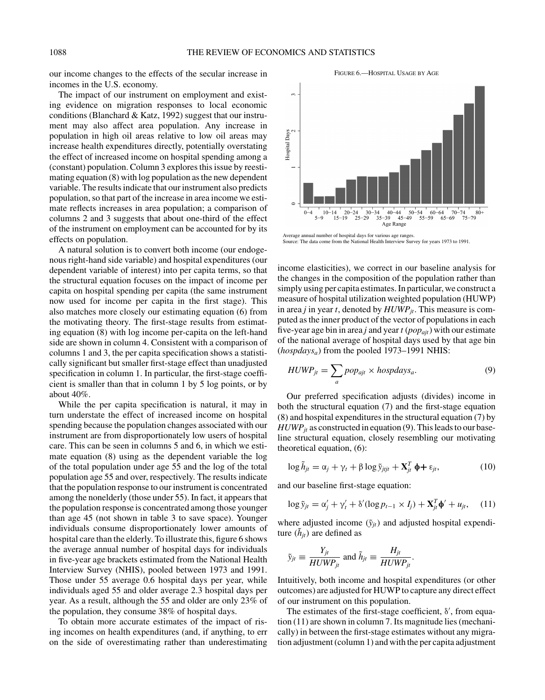our income changes to the effects of the secular increase in incomes in the U.S. economy.

The impact of our instrument on employment and existing evidence on migration responses to local economic conditions (Blanchard & Katz, 1992) suggest that our instrument may also affect area population. Any increase in population in high oil areas relative to low oil areas may increase health expenditures directly, potentially overstating the effect of increased income on hospital spending among a (constant) population. Column 3 explores this issue by reestimating equation (8) with log population as the new dependent variable. The results indicate that our instrument also predicts population, so that part of the increase in area income we estimate reflects increases in area population; a comparison of columns 2 and 3 suggests that about one-third of the effect of the instrument on employment can be accounted for by its effects on population.

A natural solution is to convert both income (our endogenous right-hand side variable) and hospital expenditures (our dependent variable of interest) into per capita terms, so that the structural equation focuses on the impact of income per capita on hospital spending per capita (the same instrument now used for income per capita in the first stage). This also matches more closely our estimating equation (6) from the motivating theory. The first-stage results from estimating equation (8) with log income per-capita on the left-hand side are shown in column 4. Consistent with a comparison of columns 1 and 3, the per capita specification shows a statistically significant but smaller first-stage effect than unadjusted specification in column 1. In particular, the first-stage coefficient is smaller than that in column 1 by 5 log points, or by about 40%.

While the per capita specification is natural, it may in turn understate the effect of increased income on hospital spending because the population changes associated with our instrument are from disproportionately low users of hospital care. This can be seen in columns 5 and 6, in which we estimate equation (8) using as the dependent variable the log of the total population under age 55 and the log of the total population age 55 and over, respectively. The results indicate that the population response to our instrument is concentrated among the nonelderly (those under 55). In fact, it appears that the population response is concentrated among those younger than age 45 (not shown in table 3 to save space). Younger individuals consume disproportionately lower amounts of hospital care than the elderly. To illustrate this, figure 6 shows the average annual number of hospital days for individuals in five-year age brackets estimated from the National Health Interview Survey (NHIS), pooled between 1973 and 1991. Those under 55 average 0.6 hospital days per year, while individuals aged 55 and older average 2.3 hospital days per year. As a result, although the 55 and older are only 23% of the population, they consume 38% of hospital days.

To obtain more accurate estimates of the impact of rising incomes on health expenditures (and, if anything, to err on the side of overestimating rather than underestimating



Average annual number of hospital days for various age ranges. Source: The data come from the National Health Interview Survey for years 1973 to 1991.

income elasticities), we correct in our baseline analysis for the changes in the composition of the population rather than simply using per capita estimates. In particular, we construct a measure of hospital utilization weighted population (HUWP) in area *j* in year *t*, denoted by *HUWPjt*. This measure is computed as the inner product of the vector of populations in each five-year age bin in area *j* and year *t* (*popajt*) with our estimate of the national average of hospital days used by that age bin (*hospdaysa*) from the pooled 1973–1991 NHIS:

$$
HUWP_{jt} = \sum_{a} pop_{ajt} \times hospdays_a.
$$
 (9)

Our preferred specification adjusts (divides) income in both the structural equation (7) and the first-stage equation (8) and hospital expenditures in the structural equation (7) by  $HUWP_{it}$  as constructed in equation (9). This leads to our baseline structural equation, closely resembling our motivating theoretical equation, (6):

$$
\log \tilde{h}_{jt} = \alpha_j + \gamma_t + \beta \log \tilde{y}_{j t j t} + \mathbf{X}_{jt}^T \boldsymbol{\phi} + \epsilon_{jt},
$$
 (10)

and our baseline first-stage equation:

$$
\log \tilde{y}_{jt} = \alpha'_j + \gamma'_t + \delta' (\log p_{t-1} \times I_j) + \mathbf{X}_{jt}^T \boldsymbol{\phi}' + u_{jt}, \quad (11)
$$

where adjusted income  $(\tilde{y}_{it})$  and adjusted hospital expenditure  $(\bar{h}_{it})$  are defined as

$$
\tilde{y}_{jt} \equiv \frac{Y_{jt}}{HUWP_{jt}} \text{ and } \tilde{h}_{jt} \equiv \frac{H_{jt}}{HUWP_{jt}}.
$$

Intuitively, both income and hospital expenditures (or other outcomes) are adjusted for HUWP to capture any direct effect of our instrument on this population.

The estimates of the first-stage coefficient, δ , from equation (11) are shown in column 7. Its magnitude lies (mechanically) in between the first-stage estimates without any migration adjustment (column 1) and with the per capita adjustment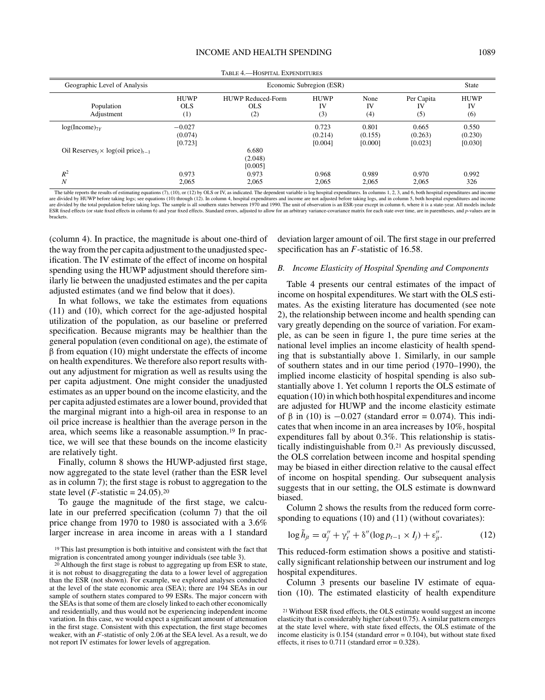| Geographic Level of Analysis                                     |                           | Economic Subregion (ESR)               |                   |            |                  |                   |  |  |
|------------------------------------------------------------------|---------------------------|----------------------------------------|-------------------|------------|------------------|-------------------|--|--|
| Population                                                       | <b>HUWP</b><br><b>OLS</b> | <b>HUWP Reduced-Form</b><br><b>OLS</b> | <b>HUWP</b><br>IV | None<br>IV | Per Capita<br>IV | <b>HUWP</b><br>IV |  |  |
| Adjustment                                                       | (1)                       | (2)                                    | (3)               | (4)        | (5)              | (6)               |  |  |
| $log(Income)_{7Y}$                                               | $-0.027$                  |                                        | 0.723             | 0.801      | 0.665            | 0.550             |  |  |
|                                                                  | (0.074)                   |                                        | (0.214)           | (0.155)    | (0.263)          | (0.230)           |  |  |
|                                                                  | [0.723]                   |                                        | [0.004]           | [0.000]    | [0.023]          | [0.030]           |  |  |
| Oil Reserves <sub>i</sub> $\times$ log(oil price) <sub>t-1</sub> |                           | 6.680                                  |                   |            |                  |                   |  |  |
|                                                                  |                           | (2.048)                                |                   |            |                  |                   |  |  |
|                                                                  |                           | [0.005]                                |                   |            |                  |                   |  |  |
| $R^2$                                                            | 0.973                     | 0.973                                  | 0.968             | 0.989      | 0.970            | 0.992             |  |  |
| $\overline{N}$                                                   | 2,065                     | 2,065                                  | 2.065             | 2.065      | 2,065            | 326               |  |  |

Table 4.—Hospital Expenditures

The table reports the results of estimating equations (7), (10), or (12) by OLS or IV, as indicated. The dependent variable is log hospital expenditures. In columns 1, 2, 3, and 6, both hospital expenditures and income are divided by HUWP before taking logs; see equations  $(10)$  through  $(12)$ . In column 4, hospital expenditures and income are not adjusted before taking logs, and in column 5, both hospital expenditures and income are no are divided by the total population before taking logs. The sample is all southern states between 1970 and 1990. The unit of observation is an ESR-year except in column 6, where it is a state-year. All models include ESR fixed effects (or state fixed effects in column 6) and year fixed effects. Standard errors, adjusted to allow for an arbitrary variance-covariance matrix for each state over time, are in parentheses, and p-values are i brackets.

(column 4). In practice, the magnitude is about one-third of the way from the per capita adjustment to the unadjusted specification. The IV estimate of the effect of income on hospital spending using the HUWP adjustment should therefore similarly lie between the unadjusted estimates and the per capita adjusted estimates (and we find below that it does).

In what follows, we take the estimates from equations (11) and (10), which correct for the age-adjusted hospital utilization of the population, as our baseline or preferred specification. Because migrants may be healthier than the general population (even conditional on age), the estimate of  $β$  from equation (10) might understate the effects of income on health expenditures. We therefore also report results without any adjustment for migration as well as results using the per capita adjustment. One might consider the unadjusted estimates as an upper bound on the income elasticity, and the per capita adjusted estimates are a lower bound, provided that the marginal migrant into a high-oil area in response to an oil price increase is healthier than the average person in the area, which seems like a reasonable assumption.19 In practice, we will see that these bounds on the income elasticity are relatively tight.

Finally, column 8 shows the HUWP-adjusted first stage, now aggregated to the state level (rather than the ESR level as in column 7); the first stage is robust to aggregation to the state level ( $F$ -statistic = 24.05).<sup>20</sup>

To gauge the magnitude of the first stage, we calculate in our preferred specification (column 7) that the oil price change from 1970 to 1980 is associated with a 3.6% larger increase in area income in areas with a 1 standard deviation larger amount of oil. The first stage in our preferred specification has an *F*-statistic of 16.58.

# *B. Income Elasticity of Hospital Spending and Components*

Table 4 presents our central estimates of the impact of income on hospital expenditures. We start with the OLS estimates. As the existing literature has documented (see note 2), the relationship between income and health spending can vary greatly depending on the source of variation. For example, as can be seen in figure 1, the pure time series at the national level implies an income elasticity of health spending that is substantially above 1. Similarly, in our sample of southern states and in our time period (1970–1990), the implied income elasticity of hospital spending is also substantially above 1. Yet column 1 reports the OLS estimate of equation (10) in which both hospital expenditures and income are adjusted for HUWP and the income elasticity estimate of  $\beta$  in (10) is  $-0.027$  (standard error = 0.074). This indicates that when income in an area increases by 10%, hospital expenditures fall by about 0.3%. This relationship is statistically indistinguishable from 0.21 As previously discussed, the OLS correlation between income and hospital spending may be biased in either direction relative to the causal effect of income on hospital spending. Our subsequent analysis suggests that in our setting, the OLS estimate is downward biased.

Column 2 shows the results from the reduced form corresponding to equations (10) and (11) (without covariates):

$$
\log \tilde{h}_{jt} = \alpha_j'' + \gamma_t'' + \delta''(\log p_{t-1} \times I_j) + \epsilon_{jt}''.
$$
 (12)

This reduced-form estimation shows a positive and statistically significant relationship between our instrument and log hospital expenditures.

Column 3 presents our baseline IV estimate of equation (10). The estimated elasticity of health expenditure

<sup>19</sup> This last presumption is both intuitive and consistent with the fact that migration is concentrated among younger individuals (see table 3).

<sup>&</sup>lt;sup>20</sup> Although the first stage is robust to aggregating up from ESR to state, it is not robust to disaggregating the data to a lower level of aggregation than the ESR (not shown). For example, we explored analyses conducted at the level of the state economic area (SEA); there are 194 SEAs in our sample of southern states compared to 99 ESRs. The major concern with the SEAs is that some of them are closely linked to each other economically and residentially, and thus would not be experiencing independent income variation. In this case, we would expect a significant amount of attenuation in the first stage. Consistent with this expectation, the first stage becomes weaker, with an *F*-statistic of only 2.06 at the SEA level. As a result, we do not report IV estimates for lower levels of aggregation.

<sup>21</sup> Without ESR fixed effects, the OLS estimate would suggest an income elasticity that is considerably higher (about 0.75). A similar pattern emerges at the state level where, with state fixed effects, the OLS estimate of the income elasticity is  $0.154$  (standard error = 0.104), but without state fixed effects, it rises to  $0.711$  (standard error =  $0.328$ ).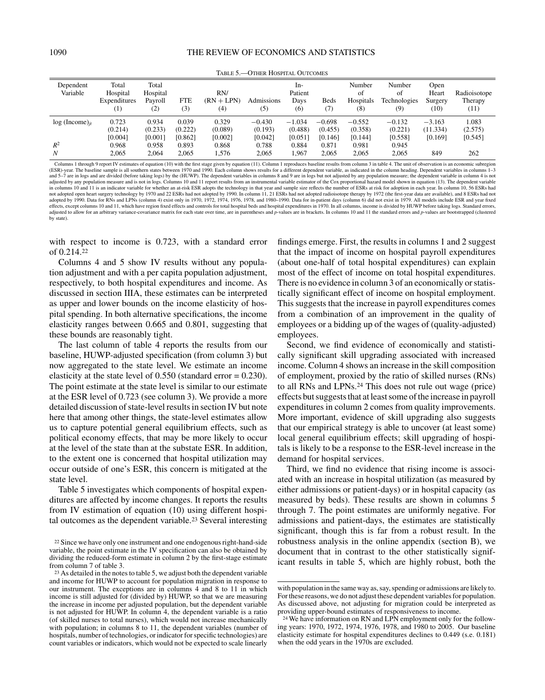| 1ADLLJ.<br>OTHER HOSHITAL OUTCOMES               |                                               |                                               |                                               |                                               |                                                  |                                                  |                                                  |                                                  |                                                  |                                        |                                    |
|--------------------------------------------------|-----------------------------------------------|-----------------------------------------------|-----------------------------------------------|-----------------------------------------------|--------------------------------------------------|--------------------------------------------------|--------------------------------------------------|--------------------------------------------------|--------------------------------------------------|----------------------------------------|------------------------------------|
| Dependent<br>Variable                            | Total<br>Hospital<br>Expenditures<br>$^{(1)}$ | Total<br>Hospital<br>Pavroll<br>(2)           | <b>FTE</b><br>(3)                             | RN/<br>$(RN + LPN)$<br>(4)                    | Admissions<br>(5)                                | In-<br>Patient<br>Davs<br>(6)                    | <b>Beds</b><br>(7)                               | Number<br>of<br>Hospitals<br>(8)                 | Number<br>of<br>Technologies<br>(9)              | Open<br>Heart<br>Surgery<br>(10)       | Radioisotope<br>Therapy<br>(11)    |
| $log (Income)_{it}$<br>$R^2$<br>$\boldsymbol{N}$ | 0.723<br>(0.214)<br>[0.004]<br>0.968<br>2,065 | 0.934<br>(0.233)<br>[0.001]<br>0.958<br>2,064 | 0.039<br>(0.222)<br>[0.862]<br>0.893<br>2,065 | 0.329<br>(0.089)<br>[0.002]<br>0.868<br>1,576 | $-0.430$<br>(0.193)<br>[0.042]<br>0.788<br>2.065 | $-1.034$<br>(0.488)<br>[0.051]<br>0.884<br>1.967 | $-0.698$<br>(0.455)<br>[0.146]<br>0.871<br>2,065 | $-0.552$<br>(0.358)<br>[0.144]<br>0.981<br>2,065 | $-0.132$<br>(0.221)<br>[0.558]<br>0.945<br>2,065 | $-3.163$<br>(11.334)<br>[0.169]<br>849 | 1.083<br>(2.575)<br>[0.545]<br>262 |

Table 5.—Other Hospital Outcomes

Columns 1 through 9 report IV estimates of equation (10) with the first stage given by equation (11). Column 1 reproduces baseline results from column 3 in table 4. The unit of observation is an economic subregion (ESR)-year. The baseline sample is all southern states between 1970 and 1990. Each column shows results for a different dependent variable, as indicated in the column heading. Dependent variables in columns 1–3 and 5-7 are in logs and are divided (before taking logs) by the (HUWP). The dependent variables in columns 8 and 9 are in logs but not adjusted by any population measure; the dependent variable in column 4 is not adjusted by any population measure and is not in logs. Columns 10 and 11 report results from an instrumental variable estimator of the Cox proportional hazard model shown in equation (13). The dependent variable in columns 10 and 11 is an indicator variable for whether an at-risk ESR adopts the technology in that year and sample size reflects the number of ESRs at risk for adoption in each year. In column 10, 56 ESRs had not adopt adopted by 1990. Data for RNs and LPNs (column 4) exist only in 1970, 1972, 1974, 1976, 1978, and 1980-1990. Data for in-patient days (column 6) did not exist in 1979. All models include ESR and year fixed effects, except columns 10 and 11, which have region fixed effects and controls for total hospital beds and hospital expenditures in 1970. In all columns, income is divided by HUWP before taking logs. Standard errors, adjusted to allow for an arbitrary variance-covariance matrix for each state over time, are in parentheses and p-values are in brackets. In columns 10 and 11 the standard errors and p-values are bootstrapped (clustered by state).

with respect to income is 0.723, with a standard error of 0.214.22

Columns 4 and 5 show IV results without any population adjustment and with a per capita population adjustment, respectively, to both hospital expenditures and income. As discussed in section IIIA, these estimates can be interpreted as upper and lower bounds on the income elasticity of hospital spending. In both alternative specifications, the income elasticity ranges between 0.665 and 0.801, suggesting that these bounds are reasonably tight.

The last column of table 4 reports the results from our baseline, HUWP-adjusted specification (from column 3) but now aggregated to the state level. We estimate an income elasticity at the state level of  $0.550$  (standard error =  $0.230$ ). The point estimate at the state level is similar to our estimate at the ESR level of 0.723 (see column 3). We provide a more detailed discussion of state-level results in section IV but note here that among other things, the state-level estimates allow us to capture potential general equilibrium effects, such as political economy effects, that may be more likely to occur at the level of the state than at the substate ESR. In addition, to the extent one is concerned that hospital utilization may occur outside of one's ESR, this concern is mitigated at the state level.

Table 5 investigates which components of hospital expenditures are affected by income changes. It reports the results from IV estimation of equation (10) using different hospital outcomes as the dependent variable.23 Several interesting findings emerge. First, the results in columns 1 and 2 suggest that the impact of income on hospital payroll expenditures (about one-half of total hospital expenditures) can explain most of the effect of income on total hospital expenditures. There is no evidence in column 3 of an economically or statistically significant effect of income on hospital employment. This suggests that the increase in payroll expenditures comes from a combination of an improvement in the quality of employees or a bidding up of the wages of (quality-adjusted) employees.

Second, we find evidence of economically and statistically significant skill upgrading associated with increased income. Column 4 shows an increase in the skill composition of employment, proxied by the ratio of skilled nurses (RNs) to all RNs and LPNs.24 This does not rule out wage (price) effects but suggests that at least some of the increase in payroll expenditures in column 2 comes from quality improvements. More important, evidence of skill upgrading also suggests that our empirical strategy is able to uncover (at least some) local general equilibrium effects; skill upgrading of hospitals is likely to be a response to the ESR-level increase in the demand for hospital services.

Third, we find no evidence that rising income is associated with an increase in hospital utilization (as measured by either admissions or patient-days) or in hospital capacity (as measured by beds). These results are shown in columns 5 through 7. The point estimates are uniformly negative. For admissions and patient-days, the estimates are statistically significant, though this is far from a robust result. In the robustness analysis in the online appendix (section B), we document that in contrast to the other statistically significant results in table 5, which are highly robust, both the

<sup>22</sup> Since we have only one instrument and one endogenous right-hand-side variable, the point estimate in the IV specification can also be obtained by dividing the reduced-form estimate in column 2 by the first-stage estimate from column 7 of table 3.

<sup>&</sup>lt;sup>23</sup> As detailed in the notes to table 5, we adjust both the dependent variable and income for HUWP to account for population migration in response to our instrument. The exceptions are in columns 4 and 8 to 11 in which income is still adjusted for (divided by) HUWP, so that we are measuring the increase in income per adjusted population, but the dependent variable is not adjusted for HUWP. In column 4, the dependent variable is a ratio (of skilled nurses to total nurses), which would not increase mechanically with population; in columns 8 to 11, the dependent variables (number of hospitals, number of technologies, or indicator for specific technologies) are count variables or indicators, which would not be expected to scale linearly

with population in the same way as, say, spending or admissions are likely to. For these reasons, we do not adjust these dependent variables for population. As discussed above, not adjusting for migration could be interpreted as providing upper-bound estimates of responsiveness to income.

<sup>&</sup>lt;sup>24</sup> We have information on RN and LPN employment only for the following years: 1970, 1972, 1974, 1976, 1978, and 1980 to 2005. Our baseline elasticity estimate for hospital expenditures declines to 0.449 (s.e. 0.181) when the odd years in the 1970s are excluded.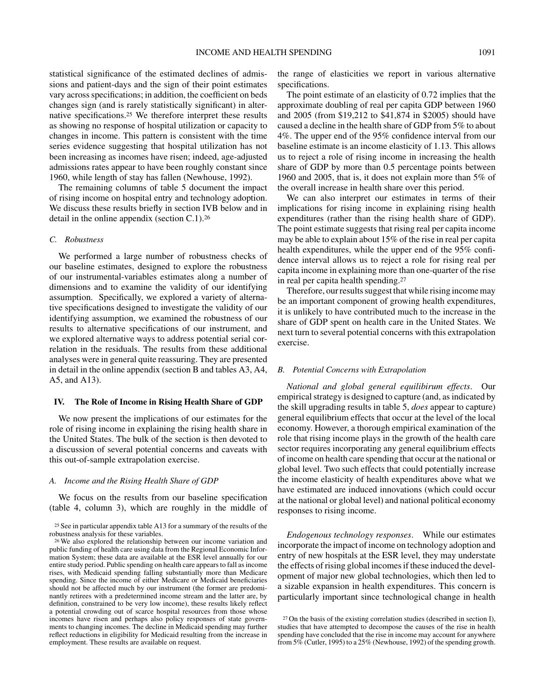statistical significance of the estimated declines of admissions and patient-days and the sign of their point estimates vary across specifications; in addition, the coefficient on beds changes sign (and is rarely statistically significant) in alternative specifications.25 We therefore interpret these results as showing no response of hospital utilization or capacity to changes in income. This pattern is consistent with the time series evidence suggesting that hospital utilization has not been increasing as incomes have risen; indeed, age-adjusted admissions rates appear to have been roughly constant since 1960, while length of stay has fallen (Newhouse, 1992).

The remaining columns of table 5 document the impact of rising income on hospital entry and technology adoption. We discuss these results briefly in section IVB below and in detail in the online appendix (section C.1).26

#### *C. Robustness*

We performed a large number of robustness checks of our baseline estimates, designed to explore the robustness of our instrumental-variables estimates along a number of dimensions and to examine the validity of our identifying assumption. Specifically, we explored a variety of alternative specifications designed to investigate the validity of our identifying assumption, we examined the robustness of our results to alternative specifications of our instrument, and we explored alternative ways to address potential serial correlation in the residuals. The results from these additional analyses were in general quite reassuring. They are presented in detail in the online appendix (section B and tables A3, A4, A5, and A13).

# **IV. The Role of Income in Rising Health Share of GDP**

We now present the implications of our estimates for the role of rising income in explaining the rising health share in the United States. The bulk of the section is then devoted to a discussion of several potential concerns and caveats with this out-of-sample extrapolation exercise.

#### *A. Income and the Rising Health Share of GDP*

We focus on the results from our baseline specification (table 4, column 3), which are roughly in the middle of

the range of elasticities we report in various alternative specifications.

The point estimate of an elasticity of 0.72 implies that the approximate doubling of real per capita GDP between 1960 and 2005 (from \$19,212 to \$41,874 in \$2005) should have caused a decline in the health share of GDP from 5% to about 4%. The upper end of the 95% confidence interval from our baseline estimate is an income elasticity of 1.13. This allows us to reject a role of rising income in increasing the health share of GDP by more than 0.5 percentage points between 1960 and 2005, that is, it does not explain more than 5% of the overall increase in health share over this period.

We can also interpret our estimates in terms of their implications for rising income in explaining rising health expenditures (rather than the rising health share of GDP). The point estimate suggests that rising real per capita income may be able to explain about 15% of the rise in real per capita health expenditures, while the upper end of the 95% confidence interval allows us to reject a role for rising real per capita income in explaining more than one-quarter of the rise in real per capita health spending.27

Therefore, our results suggest that while rising income may be an important component of growing health expenditures, it is unlikely to have contributed much to the increase in the share of GDP spent on health care in the United States. We next turn to several potential concerns with this extrapolation exercise.

#### *B. Potential Concerns with Extrapolation*

*National and global general equilibirum effects*. Our empirical strategy is designed to capture (and, as indicated by the skill upgrading results in table 5, *does* appear to capture) general equilibrium effects that occur at the level of the local economy. However, a thorough empirical examination of the role that rising income plays in the growth of the health care sector requires incorporating any general equilibrium effects of income on health care spending that occur at the national or global level. Two such effects that could potentially increase the income elasticity of health expenditures above what we have estimated are induced innovations (which could occur at the national or global level) and national political economy responses to rising income.

*Endogenous technology responses*. While our estimates incorporate the impact of income on technology adoption and entry of new hospitals at the ESR level, they may understate the effects of rising global incomes if these induced the development of major new global technologies, which then led to a sizable expansion in health expenditures. This concern is particularly important since technological change in health

<sup>25</sup> See in particular appendix table A13 for a summary of the results of the robustness analysis for these variables.

<sup>26</sup> We also explored the relationship between our income variation and public funding of health care using data from the Regional Economic Information System; these data are available at the ESR level annually for our entire study period. Public spending on health care appears to fall as income rises, with Medicaid spending falling substantially more than Medicare spending. Since the income of either Medicare or Medicaid beneficiaries should not be affected much by our instrument (the former are predominantly retirees with a predetermined income stream and the latter are, by definition, constrained to be very low income), these results likely reflect a potential crowding out of scarce hospital resources from those whose incomes have risen and perhaps also policy responses of state governments to changing incomes. The decline in Medicaid spending may further reflect reductions in eligibility for Medicaid resulting from the increase in employment. These results are available on request.

<sup>27</sup> On the basis of the existing correlation studies (described in section I), studies that have attempted to decompose the causes of the rise in health spending have concluded that the rise in income may account for anywhere from 5% (Cutler, 1995) to a 25% (Newhouse, 1992) of the spending growth.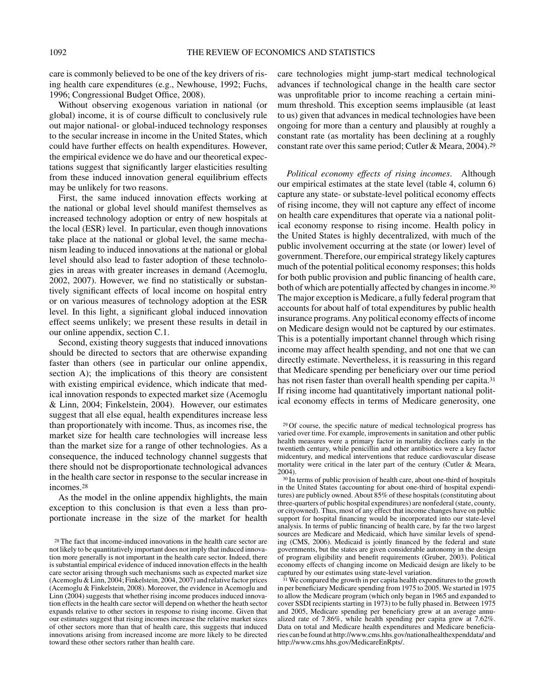care is commonly believed to be one of the key drivers of rising health care expenditures (e.g., Newhouse, 1992; Fuchs, 1996; Congressional Budget Office, 2008).

Without observing exogenous variation in national (or global) income, it is of course difficult to conclusively rule out major national- or global-induced technology responses to the secular increase in income in the United States, which could have further effects on health expenditures. However, the empirical evidence we do have and our theoretical expectations suggest that significantly larger elasticities resulting from these induced innovation general equilibrium effects may be unlikely for two reasons.

First, the same induced innovation effects working at the national or global level should manifest themselves as increased technology adoption or entry of new hospitals at the local (ESR) level. In particular, even though innovations take place at the national or global level, the same mechanism leading to induced innovations at the national or global level should also lead to faster adoption of these technologies in areas with greater increases in demand (Acemoglu, 2002, 2007). However, we find no statistically or substantively significant effects of local income on hospital entry or on various measures of technology adoption at the ESR level. In this light, a significant global induced innovation effect seems unlikely; we present these results in detail in our online appendix, section C.1.

Second, existing theory suggests that induced innovations should be directed to sectors that are otherwise expanding faster than others (see in particular our online appendix, section A); the implications of this theory are consistent with existing empirical evidence, which indicate that medical innovation responds to expected market size (Acemoglu & Linn, 2004; Finkelstein, 2004). However, our estimates suggest that all else equal, health expenditures increase less than proportionately with income. Thus, as incomes rise, the market size for health care technologies will increase less than the market size for a range of other technologies. As a consequence, the induced technology channel suggests that there should not be disproportionate technological advances in the health care sector in response to the secular increase in incomes.28

As the model in the online appendix highlights, the main exception to this conclusion is that even a less than proportionate increase in the size of the market for health care technologies might jump-start medical technological advances if technological change in the health care sector was unprofitable prior to income reaching a certain minimum threshold. This exception seems implausible (at least to us) given that advances in medical technologies have been ongoing for more than a century and plausibly at roughly a constant rate (as mortality has been declining at a roughly constant rate over this same period; Cutler & Meara, 2004).29

*Political economy effects of rising incomes*. Although our empirical estimates at the state level (table 4, column 6) capture any state- or substate-level political economy effects of rising income, they will not capture any effect of income on health care expenditures that operate via a national political economy response to rising income. Health policy in the United States is highly decentralized, with much of the public involvement occurring at the state (or lower) level of government. Therefore, our empirical strategy likely captures much of the potential political economy responses; this holds for both public provision and public financing of health care, both of which are potentially affected by changes in income.30 The major exception is Medicare, a fully federal program that accounts for about half of total expenditures by public health insurance programs. Any political economy effects of income on Medicare design would not be captured by our estimates. This is a potentially important channel through which rising income may affect health spending, and not one that we can directly estimate. Nevertheless, it is reassuring in this regard that Medicare spending per beneficiary over our time period has not risen faster than overall health spending per capita.<sup>31</sup> If rising income had quantitatively important national political economy effects in terms of Medicare generosity, one

<sup>28</sup> The fact that income-induced innovations in the health care sector are not likely to be quantitatively important does not imply that induced innovation more generally is not important in the health care sector. Indeed, there is substantial empirical evidence of induced innovation effects in the health care sector arising through such mechanisms such as expected market size (Acemoglu & Linn, 2004; Finkelstein, 2004, 2007) and relative factor prices (Acemoglu & Finkelstein, 2008). Moreover, the evidence in Acemoglu and Linn (2004) suggests that whether rising income produces induced innovation effects in the health care sector will depend on whether the heath sector expands relative to other sectors in response to rising income. Given that our estimates suggest that rising incomes increase the relative market sizes of other sectors more than that of health care, this suggests that induced innovations arising from increased income are more likely to be directed toward these other sectors rather than health care.

<sup>29</sup> Of course, the specific nature of medical technological progress has varied over time. For example, improvements in sanitation and other public health measures were a primary factor in mortality declines early in the twentieth century, while penicillin and other antibiotics were a key factor midcentury, and medical interventions that reduce cardiovascular disease mortality were critical in the later part of the century (Cutler & Meara, 2004).

<sup>30</sup> In terms of public provision of health care, about one-third of hospitals in the United States (accounting for about one-third of hospital expenditures) are publicly owned. About 85% of these hospitals (constituting about three-quarters of public hospital expenditures) are nonfederal (state, county, or cityowned). Thus, most of any effect that income changes have on public support for hospital financing would be incorporated into our state-level analysis. In terms of public financing of health care, by far the two largest sources are Medicare and Medicaid, which have similar levels of spending (CMS, 2006). Medicaid is jointly financed by the federal and state governments, but the states are given considerable autonomy in the design of program eligibility and benefit requirements (Gruber, 2003). Political economy effects of changing income on Medicaid design are likely to be captured by our estimates using state-level variation.

<sup>&</sup>lt;sup>31</sup> We compared the growth in per capita health expenditures to the growth in per beneficiary Medicare spending from 1975 to 2005. We started in 1975 to allow the Medicare program (which only began in 1965 and expanded to cover SSDI recipients starting in 1973) to be fully phased in. Between 1975 and 2005, Medicare spending per beneficiary grew at an average annualized rate of 7.86%, while health spending per capita grew at 7.62%. Data on total and Medicare health expenditures and Medicare beneficiaries can be found at http://www.cms.hhs.gov/nationalhealthexpenddata/ and http://www.cms.hhs.gov/MedicareEnRpts/.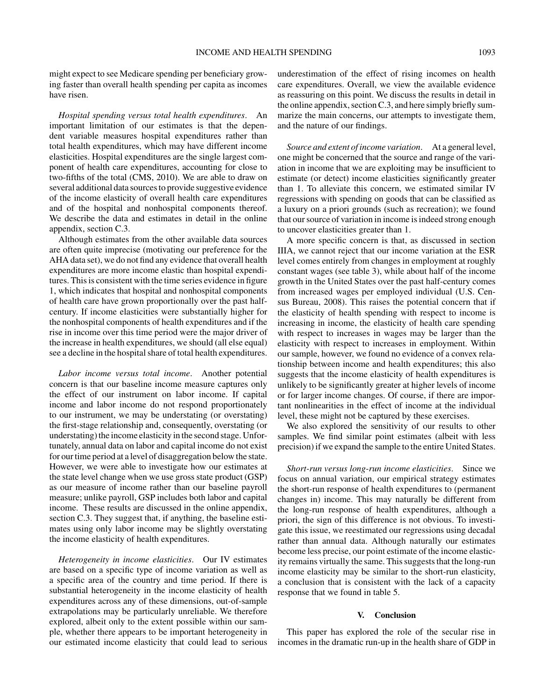might expect to see Medicare spending per beneficiary growing faster than overall health spending per capita as incomes have risen.

*Hospital spending versus total health expenditures*. An important limitation of our estimates is that the dependent variable measures hospital expenditures rather than total health expenditures, which may have different income elasticities. Hospital expenditures are the single largest component of health care expenditures, accounting for close to two-fifths of the total (CMS, 2010). We are able to draw on several additional data sources to provide suggestive evidence of the income elasticity of overall health care expenditures and of the hospital and nonhospital components thereof. We describe the data and estimates in detail in the online appendix, section C.3.

Although estimates from the other available data sources are often quite imprecise (motivating our preference for the AHA data set), we do not find any evidence that overall health expenditures are more income elastic than hospital expenditures. This is consistent with the time series evidence in figure 1, which indicates that hospital and nonhospital components of health care have grown proportionally over the past halfcentury. If income elasticities were substantially higher for the nonhospital components of health expenditures and if the rise in income over this time period were the major driver of the increase in health expenditures, we should (all else equal) see a decline in the hospital share of total health expenditures.

*Labor income versus total income*. Another potential concern is that our baseline income measure captures only the effect of our instrument on labor income. If capital income and labor income do not respond proportionately to our instrument, we may be understating (or overstating) the first-stage relationship and, consequently, overstating (or understating) the income elasticity in the second stage. Unfortunately, annual data on labor and capital income do not exist for our time period at a level of disaggregation below the state. However, we were able to investigate how our estimates at the state level change when we use gross state product (GSP) as our measure of income rather than our baseline payroll measure; unlike payroll, GSP includes both labor and capital income. These results are discussed in the online appendix, section C.3. They suggest that, if anything, the baseline estimates using only labor income may be slightly overstating the income elasticity of health expenditures.

*Heterogeneity in income elasticities*. Our IV estimates are based on a specific type of income variation as well as a specific area of the country and time period. If there is substantial heterogeneity in the income elasticity of health expenditures across any of these dimensions, out-of-sample extrapolations may be particularly unreliable. We therefore explored, albeit only to the extent possible within our sample, whether there appears to be important heterogeneity in our estimated income elasticity that could lead to serious

underestimation of the effect of rising incomes on health care expenditures. Overall, we view the available evidence as reassuring on this point. We discuss the results in detail in the online appendix, section C.3, and here simply briefly summarize the main concerns, our attempts to investigate them, and the nature of our findings.

*Source and extent of income variation*. At a general level, one might be concerned that the source and range of the variation in income that we are exploiting may be insufficient to estimate (or detect) income elasticities significantly greater than 1. To alleviate this concern, we estimated similar IV regressions with spending on goods that can be classified as a luxury on a priori grounds (such as recreation); we found that our source of variation in income is indeed strong enough to uncover elasticities greater than 1.

A more specific concern is that, as discussed in section IIIA, we cannot reject that our income variation at the ESR level comes entirely from changes in employment at roughly constant wages (see table 3), while about half of the income growth in the United States over the past half-century comes from increased wages per employed individual (U.S. Census Bureau, 2008). This raises the potential concern that if the elasticity of health spending with respect to income is increasing in income, the elasticity of health care spending with respect to increases in wages may be larger than the elasticity with respect to increases in employment. Within our sample, however, we found no evidence of a convex relationship between income and health expenditures; this also suggests that the income elasticity of health expenditures is unlikely to be significantly greater at higher levels of income or for larger income changes. Of course, if there are important nonlinearities in the effect of income at the individual level, these might not be captured by these exercises.

We also explored the sensitivity of our results to other samples. We find similar point estimates (albeit with less precision) if we expand the sample to the entire United States.

*Short-run versus long-run income elasticities*. Since we focus on annual variation, our empirical strategy estimates the short-run response of health expenditures to (permanent changes in) income. This may naturally be different from the long-run response of health expenditures, although a priori, the sign of this difference is not obvious. To investigate this issue, we reestimated our regressions using decadal rather than annual data. Although naturally our estimates become less precise, our point estimate of the income elasticity remains virtually the same. This suggests that the long-run income elasticity may be similar to the short-run elasticity, a conclusion that is consistent with the lack of a capacity response that we found in table 5.

#### **V. Conclusion**

This paper has explored the role of the secular rise in incomes in the dramatic run-up in the health share of GDP in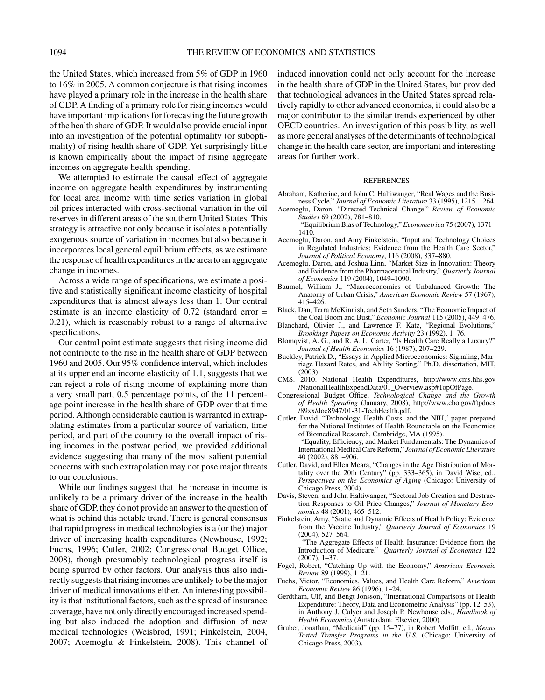the United States, which increased from 5% of GDP in 1960 to 16% in 2005. A common conjecture is that rising incomes have played a primary role in the increase in the health share of GDP. A finding of a primary role for rising incomes would have important implications for forecasting the future growth of the health share of GDP. It would also provide crucial input into an investigation of the potential optimality (or suboptimality) of rising health share of GDP. Yet surprisingly little is known empirically about the impact of rising aggregate incomes on aggregate health spending.

We attempted to estimate the causal effect of aggregate income on aggregate health expenditures by instrumenting for local area income with time series variation in global oil prices interacted with cross-sectional variation in the oil reserves in different areas of the southern United States. This strategy is attractive not only because it isolates a potentially exogenous source of variation in incomes but also because it incorporates local general equilibrium effects, as we estimate the response of health expenditures in the area to an aggregate change in incomes.

Across a wide range of specifications, we estimate a positive and statistically significant income elasticity of hospital expenditures that is almost always less than 1. Our central estimate is an income elasticity of 0.72 (standard error = 0.21), which is reasonably robust to a range of alternative specifications.

Our central point estimate suggests that rising income did not contribute to the rise in the health share of GDP between 1960 and 2005. Our 95% confidence interval, which includes at its upper end an income elasticity of 1.1, suggests that we can reject a role of rising income of explaining more than a very small part, 0.5 percentage points, of the 11 percentage point increase in the health share of GDP over that time period. Although considerable caution is warranted in extrapolating estimates from a particular source of variation, time period, and part of the country to the overall impact of rising incomes in the postwar period, we provided additional evidence suggesting that many of the most salient potential concerns with such extrapolation may not pose major threats to our conclusions.

While our findings suggest that the increase in income is unlikely to be a primary driver of the increase in the health share of GDP, they do not provide an answer to the question of what is behind this notable trend. There is general consensus that rapid progress in medical technologies is a (or the) major driver of increasing health expenditures (Newhouse, 1992; Fuchs, 1996; Cutler, 2002; Congressional Budget Office, 2008), though presumably technological progress itself is being spurred by other factors. Our analysis thus also indirectly suggests that rising incomes are unlikely to be the major driver of medical innovations either. An interesting possibility is that institutional factors, such as the spread of insurance coverage, have not only directly encouraged increased spending but also induced the adoption and diffusion of new medical technologies (Weisbrod, 1991; Finkelstein, 2004, 2007; Acemoglu & Finkelstein, 2008). This channel of

induced innovation could not only account for the increase in the health share of GDP in the United States, but provided that technological advances in the United States spread relatively rapidly to other advanced economies, it could also be a major contributor to the similar trends experienced by other OECD countries. An investigation of this possibility, as well as more general analyses of the determinants of technological change in the health care sector, are important and interesting areas for further work.

#### REFERENCES

- Abraham, Katherine, and John C. Haltiwanger, "Real Wages and the Business Cycle," *Journal of Economic Literature* 33 (1995), 1215–1264.
- Acemoglu, Daron, "Directed Technical Change," *Review of Economic Studies* 69 (2002), 781–810.
- ——— "Equilibrium Bias of Technology," *Econometrica* 75 (2007), 1371– 1410.
- Acemoglu, Daron, and Amy Finkelstein, "Input and Technology Choices in Regulated Industries: Evidence from the Health Care Sector," *Journal of Political Economy*, 116 (2008), 837–880.
- Acemoglu, Daron, and Joshua Linn, "Market Size in Innovation: Theory and Evidence from the Pharmaceutical Industry," *Quarterly Journal of Economics* 119 (2004), 1049–1090.
- Baumol, William J., "Macroeconomics of Unbalanced Growth: The Anatomy of Urban Crisis," *American Economic Review* 57 (1967), 415–426.
- Black, Dan, Terra McKinnish, and Seth Sanders, "The Economic Impact of the Coal Boom and Bust," *Economic Journal* 115 (2005), 449–476.
- Blanchard, Olivier J., and Lawrence F. Katz, "Regional Evolutions," *Brookings Papers on Economic Activity* 23 (1992), 1–76.
- Blomqvist, A. G., and R. A. L. Carter, "Is Health Care Really a Luxury?" *Journal of Health Economics* 16 (1987), 207–229.
- Buckley, Patrick D., "Essays in Applied Microeconomics: Signaling, Marriage Hazard Rates, and Ability Sorting," Ph.D. dissertation, MIT, (2003)
- CMS. 2010. National Health Expenditures, http://www.cms.hhs.gov /NationalHealthExpendData/01\_Overview.asp#TopOfPage.
- Congressional Budget Office, *Technological Change and the Growth of Health Spending* (January, 2008), http://www.cbo.gov/ftpdocs /89xx/doc8947/01-31-TechHealth.pdf.
- Cutler, David, "Technology, Health Costs, and the NIH," paper prepared for the National Institutes of Health Roundtable on the Economics of Biomedical Research, Cambridge, MA (1995).
- "Equality, Efficiency, and Market Fundamentals: The Dynamics of International Medical Care Reform," *Journal of Economic Literature* 40 (2002), 881–906.
- Cutler, David, and Ellen Meara, "Changes in the Age Distribution of Mortality over the 20th Century" (pp. 333–365), in David Wise, ed., *Perspectives on the Economics of Aging* (Chicago: University of Chicago Press, 2004).
- Davis, Steven, and John Haltiwanger, "Sectoral Job Creation and Destruction Responses to Oil Price Changes," *Journal of Monetary Economics* 48 (2001), 465–512.
- Finkelstein, Amy, "Static and Dynamic Effects of Health Policy: Evidence from the Vaccine Industry," *Quarterly Journal of Economics* 19 (2004), 527–564.
- "The Aggregate Effects of Health Insurance: Evidence from the Introduction of Medicare," *Quarterly Journal of Economics* 122 (2007), 1–37.
- Fogel, Robert, "Catching Up with the Economy," *American Economic Review* 89 (1999), 1–21.
- Fuchs, Victor, "Economics, Values, and Health Care Reform," *American Economic Review* 86 (1996), 1–24.
- Gerdtham, Ulf, and Bengt Jonsson, "International Comparisons of Health Expenditure: Theory, Data and Econometric Analysis" (pp. 12–53), in Anthony J. Culyer and Joseph P. Newhouse eds., *Handbook of Health Economics* (Amsterdam: Elsevier, 2000).
- Gruber, Jonathan, "Medicaid" (pp. 15–77), in Robert Moffitt, ed., *Means Tested Transfer Programs in the U.S.* (Chicago: University of Chicago Press, 2003).